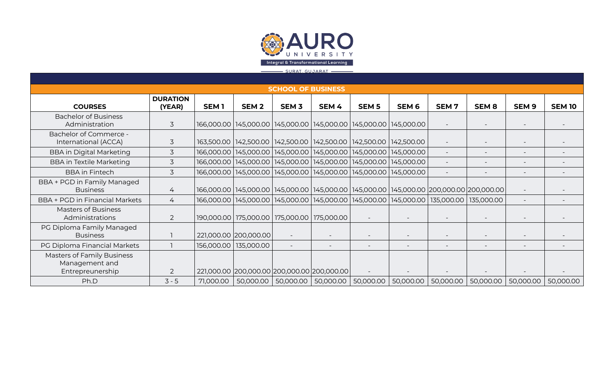

## SURAT. GUJARAT -**SCHOOL OF BUSINESS DURATION COURSES (YEAR) SEM 1 SEM 2 SEM 3 SEM 4 SEM 5 SEM 6 SEM 7 SEM 8 SEM 9 SEM 10** Bachelor of Business Administration 3 |166,000.00 |145,000.00 |145,000.00 |145,000.00 |145,000.00 | - -Bachelor of Commerce - International (ACCA) 3 163,500.00 142,500.00 142,500.00 142,500.00 142,500.00 142,500.00 - - - - BBA in Digital Marketing | 3 | 166,000.00 | 145,000.00 | 145,000.00 | 145,000.00 | 145,000.00 | - | - | - | -BBA in Textile Marketing 1 3 166,000.00 145,000.00 145,000.00 145,000.00 145,000.00 145,000.00 - - - - - - - -BBA in Fintech 1906 166,000.00 145,000.00 145,000.00 145,000.00 145,000.00 145,000.00 - - - - - - - - - - - - -BBA + PGD in Family Managed Business 1980 166,000.00 145,000.00 145,000.00 145,000.00 145,000.00 145,000.00 200,000.00 200,000.00 - - - -BBA + PGD in Financial Markets | 4 | 166,000.00 | 145,000.00 | 145,000.00 | 145,000.00 | 145,000.00 | 135,000.00 | 135,000.00 | - - - -Masters of Business Administrations 2 |190,000.00 | 175,000.00 | 175,000.00 | - | - - - | - PG Diploma Family Managed Business 1 221,000.00 200,000.00 - - - - - - - - PG Diploma Financial Markets 1 156,000.00 135,000.00 - - - - - - - - Masters of Family Business Management and Entrepreunership 2 221,000.00 200,000.00 200,000.00 200,000.00 - - - - - - Ph.D 3-5 71,000.00 50,000.00 50,000.00 50,000.00 50,000.00 50,000.00 50,000.00 50,000.00 50,000.00 50,000.00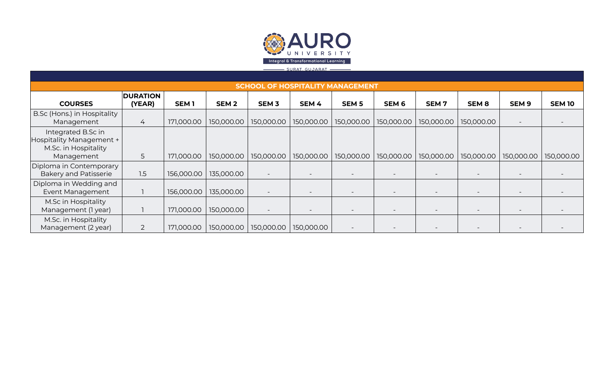

| <b>SCHOOL OF HOSPITALITY MANAGEMENT</b>                                              |                           |                  |             |                          |            |                  |                  |                  |              |                  |               |
|--------------------------------------------------------------------------------------|---------------------------|------------------|-------------|--------------------------|------------|------------------|------------------|------------------|--------------|------------------|---------------|
| <b>COURSES</b>                                                                       | <b>DURATION</b><br>(YEAR) | SEM <sub>1</sub> | <b>SEM2</b> | SEM <sub>3</sub>         | SEM 4      | SEM <sub>5</sub> | SEM <sub>6</sub> | SEM <sub>7</sub> | <b>SEM 8</b> | SEM <sub>9</sub> | <b>SEM 10</b> |
| B.Sc (Hons.) in Hospitality<br>Management                                            | 4                         | 171,000.00       | 150,000.00  | 150,000.00               | 150,000.00 | 150,000.00       | 150,000.00       | 150,000.00       | 150,000.00   |                  |               |
| Integrated B.Sc in<br>Hospitality Management +<br>M.Sc. in Hospitality<br>Management | 5                         | 171,000.00       | 150,000.00  | 150,000.00               | 150,000.00 | 150,000.00       | 150,000.00       | 150,000.00       | 150,000.00   | 150,000.00       | 150,000.00    |
| Diploma in Contemporary<br><b>Bakery and Patisserie</b>                              | 1.5                       | 156,000.00       | 135,000.00  | $\overline{\phantom{a}}$ |            |                  |                  |                  |              |                  |               |
| Diploma in Wedding and<br>Event Management                                           |                           | 156,000.00       | 135,000.00  | $\overline{\phantom{0}}$ |            |                  |                  |                  |              |                  |               |
| M.Sc in Hospitality<br>Management (1 year)                                           |                           | 171,000.00       | 150,000.00  |                          |            |                  |                  |                  |              |                  |               |
| M.Sc. in Hospitality<br>Management (2 year)                                          | $\overline{2}$            | 171,000.00       | 150,000.00  | 150,000.00               | 150,000.00 |                  |                  |                  |              |                  |               |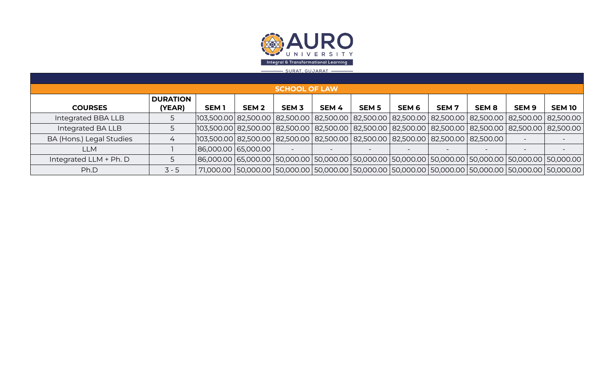

| <b>SCHOOL OF LAW</b>      |             |                  |             |                       |              |                    |             |                  |                  |                                                                                                                                                                                                                                                                                                                                                                                                                                                                                                                                                                                    |
|---------------------------|-------------|------------------|-------------|-----------------------|--------------|--------------------|-------------|------------------|------------------|------------------------------------------------------------------------------------------------------------------------------------------------------------------------------------------------------------------------------------------------------------------------------------------------------------------------------------------------------------------------------------------------------------------------------------------------------------------------------------------------------------------------------------------------------------------------------------|
| <b>DURATION</b><br>(YEAR) | <b>SEM1</b> | SEM <sub>2</sub> | <b>SEM3</b> | SEM 4                 | <b>SEM 5</b> | SEM <sub>6</sub>   | <b>SEM7</b> | SEM <sub>8</sub> | SEM <sub>9</sub> | <b>SEM 10</b>                                                                                                                                                                                                                                                                                                                                                                                                                                                                                                                                                                      |
|                           |             |                  |             |                       |              |                    |             |                  |                  |                                                                                                                                                                                                                                                                                                                                                                                                                                                                                                                                                                                    |
|                           |             |                  |             |                       |              |                    |             |                  |                  |                                                                                                                                                                                                                                                                                                                                                                                                                                                                                                                                                                                    |
|                           |             |                  |             |                       |              |                    |             |                  |                  |                                                                                                                                                                                                                                                                                                                                                                                                                                                                                                                                                                                    |
|                           |             |                  |             |                       |              |                    |             |                  |                  |                                                                                                                                                                                                                                                                                                                                                                                                                                                                                                                                                                                    |
|                           |             |                  |             |                       |              |                    |             |                  |                  |                                                                                                                                                                                                                                                                                                                                                                                                                                                                                                                                                                                    |
| $3 - 5$                   |             |                  |             |                       |              |                    |             |                  |                  |                                                                                                                                                                                                                                                                                                                                                                                                                                                                                                                                                                                    |
|                           |             |                  |             | 86,000.00   65,000.00 |              | SURAI.GUJARAI ———— |             |                  |                  | 103,500.00  82,500.00   82,500.00   82,500.00   82,500.00   82,500.00   82,500.00   82,500.00   82,500.00   82,500.00  <br> 103,500.00 82,500.00 82,500.00 82,500.00 82,500.00 82,500.00 82,500.00 82,500.00 82,500.00 82,500.00<br> 103,500.00  82,500.00   82,500.00   82,500.00   82,500.00   82,500.00   82,500.00   82,500.00  <br> 86,000.00   65,000.00   50,000.00   50,000.00   50,000.00   50,000.00   50,000.00   50,000.00   50,000.00   50,000.00  <br>71,000.00   50,000.00   50,000.00   50,000.00   50,000.00   50,000.00   50,000.00   50,000.00   50,000.00   50 |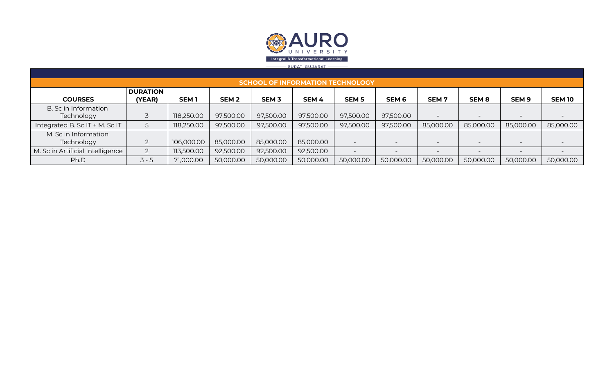

| <b>SCHOOL OF INFORMATION TECHNOLOGY</b> |                           |             |                  |             |                  |              |                  |                          |                          |                          |               |
|-----------------------------------------|---------------------------|-------------|------------------|-------------|------------------|--------------|------------------|--------------------------|--------------------------|--------------------------|---------------|
| <b>COURSES</b>                          | <b>DURATION</b><br>(YEAR) | <b>SEM1</b> | SEM <sub>2</sub> | <b>SEM3</b> | SEM <sub>4</sub> | <b>SEM 5</b> | SEM <sub>6</sub> | <b>SEM7</b>              | <b>SEM 8</b>             | SEM <sub>9</sub>         | <b>SEM 10</b> |
| B. Sc in Information                    |                           |             |                  |             |                  |              |                  |                          |                          |                          |               |
| Technology                              |                           | 118,250.00  | 97,500.00        | 97,500.00   | 97,500.00        | 97,500.00    | 97,500.00        | $\overline{\phantom{0}}$ |                          | $\overline{\phantom{0}}$ |               |
| Integrated B. Sc IT + M. Sc IT          |                           | 118,250.00  | 97,500.00        | 97,500.00   | 97,500.00        | 97,500.00    | 97,500.00        | 85,000.00                | 85,000.00                | 85,000.00                | 85,000.00     |
| M. Sc in Information                    |                           |             |                  |             |                  |              |                  |                          |                          |                          |               |
| Technology                              |                           | 106,000.00  | 85,000.00        | 85,000.00   | 85,000.00        |              |                  | $\overline{\phantom{0}}$ |                          | $\overline{\phantom{0}}$ |               |
| M. Sc in Artificial Intelligence        |                           | 113,500.00  | 92,500.00        | 92,500.00   | 92,500.00        |              | $-$              | $\overline{\phantom{0}}$ | $\overline{\phantom{0}}$ | $\overline{\phantom{0}}$ |               |
| Ph.D                                    | $3 - 5$                   | 71,000.00   | 50,000.00        | 50,000.00   | 50,000.00        | 50,000.00    | 50,000.00        | 50,000.00                | 50,000.00                | 50,000.00                | 50,000.00     |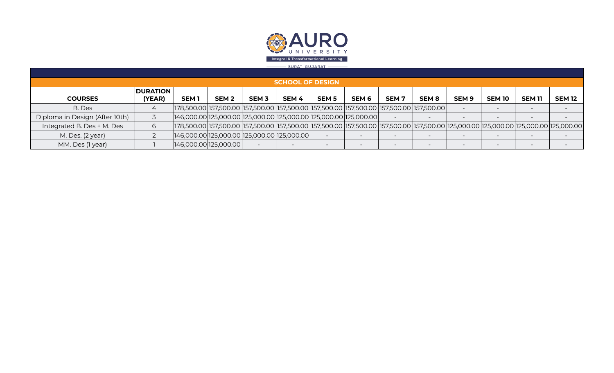

|                                | <b>SCHOOL OF DESIGN</b>   |                                                                                                                                                                                                                                |                  |              |                          |              |                  |                          |              |                          |               |                          |               |
|--------------------------------|---------------------------|--------------------------------------------------------------------------------------------------------------------------------------------------------------------------------------------------------------------------------|------------------|--------------|--------------------------|--------------|------------------|--------------------------|--------------|--------------------------|---------------|--------------------------|---------------|
| <b>COURSES</b>                 | <b>DURATION</b><br>(YEAR) | <b>SEM1</b>                                                                                                                                                                                                                    | SEM <sub>2</sub> | <b>SEM 3</b> | SEM <sub>4</sub>         | <b>SEM 5</b> | SEM <sub>6</sub> | SEM <sub>7</sub>         | <b>SEM 8</b> | SEM <sub>9</sub>         | <b>SEM 10</b> | <b>SEM 11</b>            | <b>SEM 12</b> |
| B. Des                         |                           | 157,500.00 157,500.00 157,500.00 157,500.00 157,500.00 157,500.00 157,500.00 157,500.00 157,500.00                                                                                                                             |                  |              |                          |              |                  |                          |              |                          |               |                          |               |
| Diploma in Design (After 10th) |                           | $[146,000.00]$ 125,000.00 $[125,000.00]$ 125,000.00 $[125,000.00]$ 125,000.00 $[$                                                                                                                                              |                  |              |                          |              |                  |                          |              |                          |               |                          |               |
| Integrated B. Des + M. Des     | 6                         | 125,000.00 157,500.00 125,000.00 157,500.00 157,500.00 157,500.00 157,500.00 157,500.00 125,000.00 125,000.00 125,000.00 125,000.00  125,000.00  125,000.00  125,000.00  125,000.00  125,000.00  125,000.00  125,000.00  125,0 |                  |              |                          |              |                  |                          |              |                          |               |                          |               |
| M. Des. (2 year)               |                           | $[146,000.00]$ 125,000.00 $[125,000.00]$ 125,000.00 $[$                                                                                                                                                                        |                  |              |                          |              |                  | $\overline{\phantom{0}}$ |              | $\overline{\phantom{0}}$ |               |                          |               |
| MM. Des (1 year)               |                           | 146,000.00 125,000.00                                                                                                                                                                                                          |                  |              | $\overline{\phantom{0}}$ |              |                  | $\overline{\phantom{0}}$ |              |                          |               | $\overline{\phantom{0}}$ |               |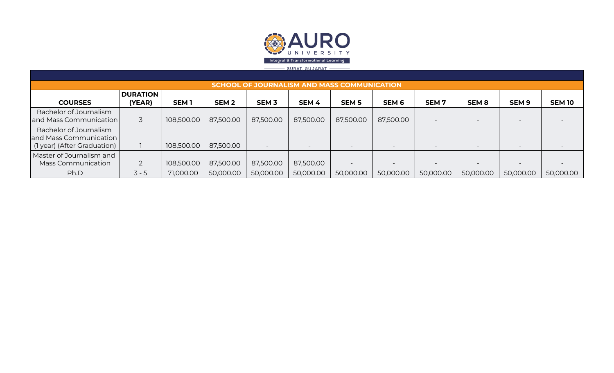

| <b>SCHOOL OF JOURNALISM AND MASS COMMUNICATION</b> |                 |                  |                  |                          |           |                          |                          |                  |                          |                          |               |
|----------------------------------------------------|-----------------|------------------|------------------|--------------------------|-----------|--------------------------|--------------------------|------------------|--------------------------|--------------------------|---------------|
|                                                    | <b>DURATION</b> |                  |                  |                          |           |                          |                          |                  |                          |                          |               |
| <b>COURSES</b>                                     | (YEAR)          | SEM <sub>1</sub> | SEM <sub>2</sub> | <b>SEM 3</b>             | SEM 4     | <b>SEM 5</b>             | SEM <sub>6</sub>         | SEM <sub>7</sub> | <b>SEM8</b>              | SEM <sub>9</sub>         | <b>SEM 10</b> |
| Bachelor of Journalism                             |                 |                  |                  |                          |           |                          |                          |                  |                          |                          |               |
| and Mass Communication                             |                 | 108,500.00       | 87,500.00        | 87,500.00                | 87,500.00 | 87,500.00                | 87,500.00                |                  | $\overline{\phantom{a}}$ | $\overline{\phantom{a}}$ |               |
| Bachelor of Journalism                             |                 |                  |                  |                          |           |                          |                          |                  |                          |                          |               |
| and Mass Communication                             |                 |                  |                  |                          |           |                          |                          |                  |                          |                          |               |
| (1 year) (After Graduation)                        |                 | 108,500.00       | 87,500.00        | $\overline{\phantom{0}}$ |           | $\overline{\phantom{0}}$ |                          |                  | $\overline{\phantom{a}}$ | $\overline{\phantom{a}}$ |               |
| Master of Journalism and                           |                 |                  |                  |                          |           |                          |                          |                  |                          |                          |               |
| Mass Communication                                 |                 | 108,500.00       | 87,500.00        | 87,500.00                | 87,500.00 | $\overline{\phantom{0}}$ | $\overline{\phantom{a}}$ |                  | $\overline{\phantom{0}}$ | $\overline{\phantom{a}}$ |               |
| Ph.D                                               | $3 - 5$         | 71,000.00        | 50,000.00        | 50,000.00                | 50,000.00 | 50,000.00                | 50,000.00                | 50,000.00        | 50,000.00                | 50,000.00                | 50,000.00     |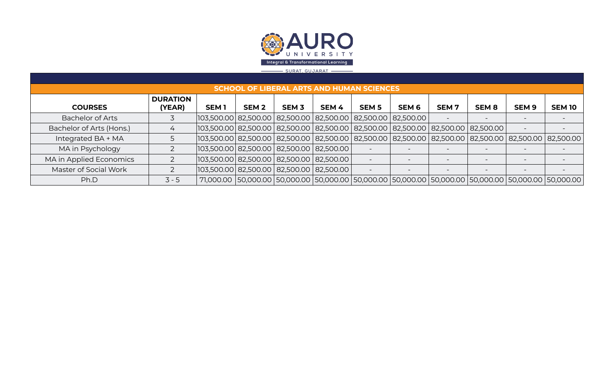

## <u>- SURAT, GUJARAT -</u>

|                          | <b>SCHOOL OF LIBERAL ARTS AND HUMAN SCIENCES</b> |                                                                                                      |                  |              |       |              |                          |                          |                          |                                                                                                                       |               |
|--------------------------|--------------------------------------------------|------------------------------------------------------------------------------------------------------|------------------|--------------|-------|--------------|--------------------------|--------------------------|--------------------------|-----------------------------------------------------------------------------------------------------------------------|---------------|
|                          | <b>DURATION</b>                                  |                                                                                                      |                  |              |       |              |                          |                          |                          |                                                                                                                       |               |
| <b>COURSES</b>           | (YEAR)                                           | <b>SEM1</b>                                                                                          | SEM <sub>2</sub> | <b>SEM 3</b> | SEM 4 | <b>SEM 5</b> | SEM 6                    | <b>SEM7</b>              | SEM <sub>8</sub>         | <b>SEM 9</b>                                                                                                          | <b>SEM 10</b> |
| <b>Bachelor of Arts</b>  |                                                  | 103,500.00  82,500.00   82,500.00   82,500.00   82,500.00   82,500.00                                |                  |              |       |              |                          |                          |                          |                                                                                                                       |               |
| Bachelor of Arts (Hons.) |                                                  | $ 103,500.00 $ 82,500.00 $ 82,500.00 $ 82,500.00 $ 82,500.00 $ 82,500.00 $ 82,500.00 $ 82,500.00 $ $ |                  |              |       |              |                          |                          |                          |                                                                                                                       |               |
| Integrated BA + MA       |                                                  |                                                                                                      |                  |              |       |              |                          |                          |                          | 103,500.00  82,500.00   82,500.00   82,500.00   82,500.00   82,500.00   82,500.00   82,500.00   82,500.00   82,500.00 |               |
| MA in Psychology         |                                                  | $ 103,500.00 $ 82,500.00   82,500.00   82,500.00                                                     |                  |              |       |              |                          |                          |                          |                                                                                                                       |               |
| MA in Applied Economics  |                                                  | $ 103,500.00 $ 82,500.00   82,500.00   82,500.00                                                     |                  |              |       |              |                          |                          |                          |                                                                                                                       |               |
| Master of Social Work    |                                                  | 103,500.00  82,500.00   82,500.00   82,500.00                                                        |                  |              |       |              | $\overline{\phantom{0}}$ | $\overline{\phantom{0}}$ | $\overline{\phantom{a}}$ |                                                                                                                       |               |
| Ph.D                     | $3 - 5$                                          |                                                                                                      |                  |              |       |              |                          |                          |                          | 71,000.00   50,000.00   50,000.00   50,000.00   50,000.00   50,000.00   50,000.00   50,000.00   50,000.00   50        |               |